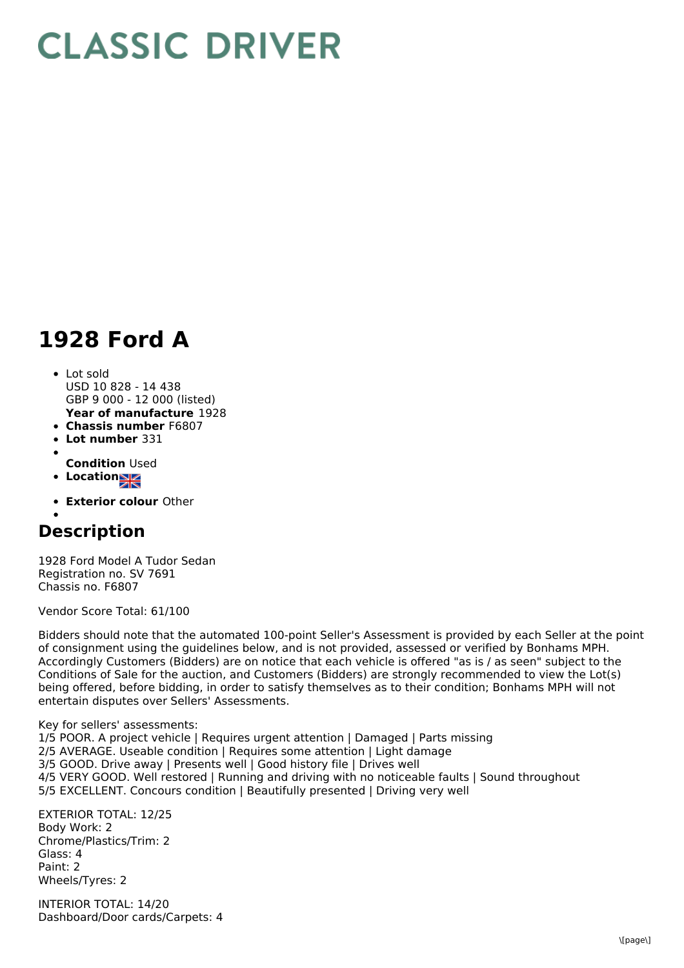## **CLASSIC DRIVER**

## **1928 Ford A**

## • Lot sold

- **Year of manufacture** 1928 USD 10 828 - 14 438 GBP 9 000 - 12 000 (listed)
- **Chassis number** F6807
- **Lot number** 331
- **Condition** Used
- **Locationsz** 
	-
- **Exterior colour** Other

## **Description**

1928 Ford Model A Tudor Sedan Registration no. SV 7691 Chassis no. F6807

Vendor Score Total: 61/100

Bidders should note that the automated 100-point Seller's Assessment is provided by each Seller at the point of consignment using the guidelines below, and is not provided, assessed or verified by Bonhams MPH. Accordingly Customers (Bidders) are on notice that each vehicle is offered "as is / as seen" subject to the Conditions of Sale for the auction, and Customers (Bidders) are strongly recommended to view the Lot(s) being offered, before bidding, in order to satisfy themselves as to their condition; Bonhams MPH will not entertain disputes over Sellers' Assessments.

Key for sellers' assessments: 1/5 POOR. A project vehicle | Requires urgent attention | Damaged | Parts missing 2/5 AVERAGE. Useable condition | Requires some attention | Light damage 3/5 GOOD. Drive away | Presents well | Good history file | Drives well 4/5 VERY GOOD. Well restored | Running and driving with no noticeable faults | Sound throughout 5/5 EXCELLENT. Concours condition | Beautifully presented | Driving very well

EXTERIOR TOTAL: 12/25 Body Work: 2 Chrome/Plastics/Trim: 2 Glass: 4 Paint: 2 Wheels/Tyres: 2

INTERIOR TOTAL: 14/20 Dashboard/Door cards/Carpets: 4